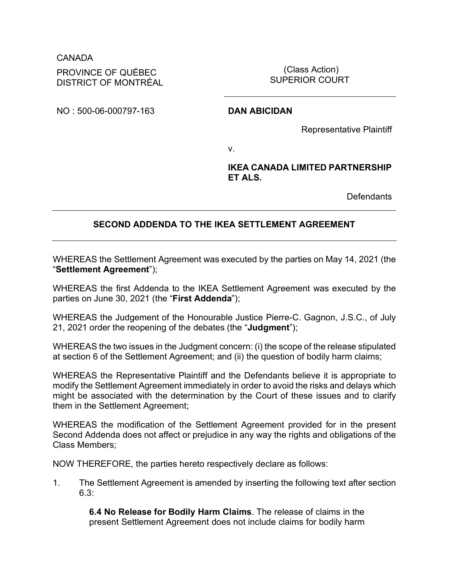# CANADA PROVINCE OF QUÉBEC DISTRICT OF MONTRÉAL

(Class Action) SUPERIOR COURT

NO : 500-06-000797-163 **DAN ABICIDAN**

Representative Plaintiff

v.

## **IKEA CANADA LIMITED PARTNERSHIP ET ALS.**

**Defendants** 

# **SECOND ADDENDA TO THE IKEA SETTLEMENT AGREEMENT**

WHEREAS the Settlement Agreement was executed by the parties on May 14, 2021 (the "**Settlement Agreement**");

WHEREAS the first Addenda to the IKEA Settlement Agreement was executed by the parties on June 30, 2021 (the "**First Addenda**");

WHEREAS the Judgement of the Honourable Justice Pierre-C. Gagnon, J.S.C., of July 21, 2021 order the reopening of the debates (the "**Judgment**");

WHEREAS the two issues in the Judgment concern: (i) the scope of the release stipulated at section 6 of the Settlement Agreement; and (ii) the question of bodily harm claims;

WHEREAS the Representative Plaintiff and the Defendants believe it is appropriate to modify the Settlement Agreement immediately in order to avoid the risks and delays which might be associated with the determination by the Court of these issues and to clarify them in the Settlement Agreement;

WHEREAS the modification of the Settlement Agreement provided for in the present Second Addenda does not affect or prejudice in any way the rights and obligations of the Class Members;

NOW THEREFORE, the parties hereto respectively declare as follows:

1. The Settlement Agreement is amended by inserting the following text after section 6.3:

> **6.4 No Release for Bodily Harm Claims**. The release of claims in the present Settlement Agreement does not include claims for bodily harm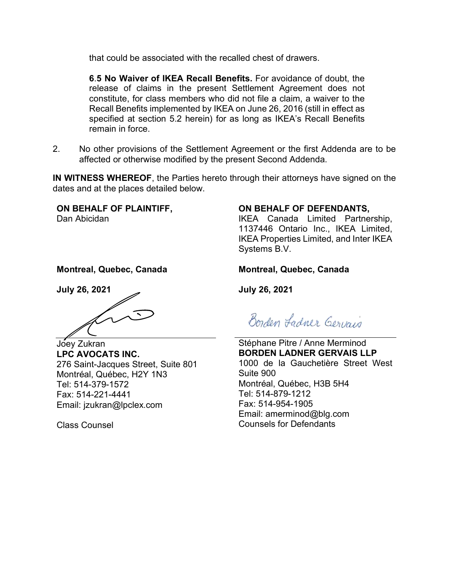that could be associated with the recalled chest of drawers.

**6**.**5 No Waiver of IKEA Recall Benefits.** For avoidance of doubt, the release of claims in the present Settlement Agreement does not constitute, for class members who did not file a claim, a waiver to the Recall Benefits implemented by IKEA on June 26, 2016 (still in effect as specified at section 5.2 herein) for as long as IKEA's Recall Benefits remain in force.

2. No other provisions of the Settlement Agreement or the first Addenda are to be affected or otherwise modified by the present Second Addenda.

**IN WITNESS WHEREOF**, the Parties hereto through their attorneys have signed on the dates and at the places detailed below.

**ON BEHALF OF PLAINTIFF,**  Dan Abicidan

**Montreal, Quebec, Canada**

**July 26, 2021**

Joey Zukran **LPC AVOCATS INC.** 276 Saint-Jacques Street, Suite 801 Montréal, Québec, H2Y 1N3 Tel: 514-379-1572 Fax: 514-221-4441 Email: jzukran@lpclex.com

Class Counsel

### **ON BEHALF OF DEFENDANTS,**

IKEA Canada Limited Partnership, 1137446 Ontario Inc., IKEA Limited, IKEA Properties Limited, and Inter IKEA Systems B.V.

### **Montreal, Quebec, Canada**

**July 26, 2021**

Borden Ladner Gervais

Stéphane Pitre / Anne Merminod **BORDEN LADNER GERVAIS LLP** 1000 de la Gauchetière Street West Suite 900 Montréal, Québec, H3B 5H4 Tel: 514-879-1212 Fax: 514-954-1905 Email: amerminod@blg.com Counsels for Defendants